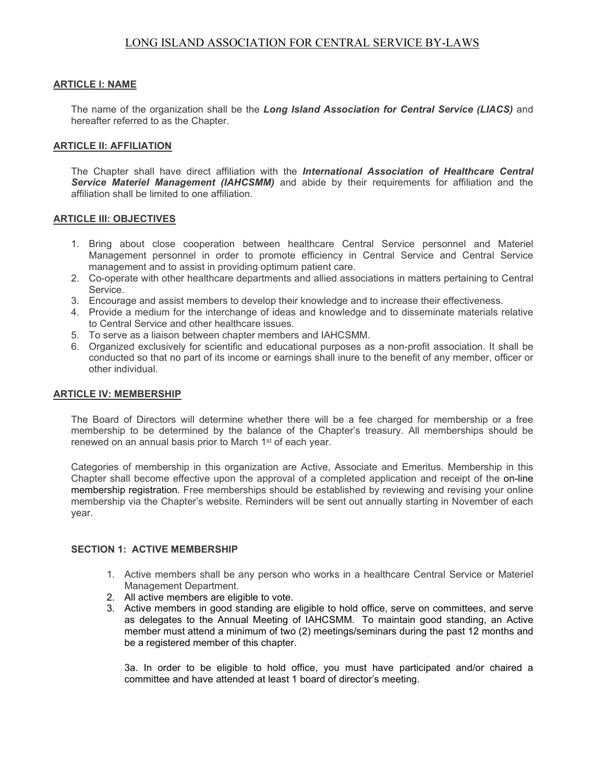# **ARTICLE I: NAME**

The name of the organization shall be the *Long Island Association for Central Service (LIACS)* and hereafter referred to as the Chapter.

# **ARTICLE II: AFFILIATION**

The Chapter shall have direct affiliation with the *International Association of Healthcare Central Service Materiel Management (IAHCSMM)* and abide by their requirements for affiliation and the affiliation shall be limited to one affiliation.

## **ARTICLE III: OBJECTIVES**

- 1. Bring about close cooperation between healthcare Central Service personnel and Materiel Management personnel in order to promote efficiency in Central Service and Central Service management and to assist in providing optimum patient care.
- 2. Co-operate with other healthcare departments and allied associations in matters pertaining to Central Service.
- 3. Encourage and assist members to develop their knowledge and to increase their effectiveness.
- 4. Provide a medium for the interchange of ideas and knowledge and to disseminate materials relative to Central Service and other healthcare issues.
- 5. To serve as a liaison between chapter members and IAHCSMM.
- 6. Organized exclusively for scientific and educational purposes as a non-profit association. It shall be conducted so that no part of its income or earnings shall inure to the benefit of any member, officer or other individual.

## **ARTICLE IV: MEMBERSHIP**

The Board of Directors will determine whether there will be a fee charged for membership or a free membership to be determined by the balance of the Chapter's treasury. All memberships should be renewed on an annual basis prior to March 1<sup>st</sup> of each year.

Categories of membership in this organization are Active, Associate and Emeritus. Membership in this Chapter shall become effective upon the approval of a completed application and receipt of the on-line membership registration. Free memberships should be established by reviewing and revising your online membership via the Chapter's website. Reminders will be sent out annually starting in November of each year.

# **SECTION 1: ACTIVE MEMBERSHIP**

- 1. Active members shall be any person who works in a healthcare Central Service or Materiel Management Department.
- 2. All active members are eligible to vote.
- 3. Active members in good standing are eligible to hold office, serve on committees, and serve as delegates to the Annual Meeting of IAHCSMM. To maintain good standing, an Active member must attend a minimum of two (2) meetings/seminars during the past 12 months and be a registered member of this chapter.

3a. In order to be eligible to hold office, you must have participated and/or chaired a committee and have attended at least 1 board of director's meeting.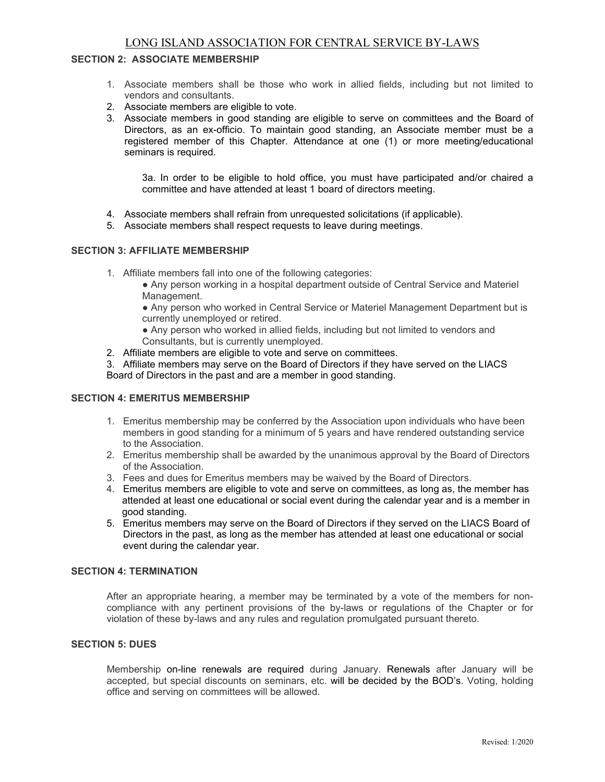## **SECTION 2: ASSOCIATE MEMBERSHIP**

- 1. Associate members shall be those who work in allied fields, including but not limited to vendors and consultants.
- 2. Associate members are eligible to vote.
- 3. Associate members in good standing are eligible to serve on committees and the Board of Directors, as an ex-officio. To maintain good standing, an Associate member must be a registered member of this Chapter. Attendance at one (1) or more meeting/educational seminars is required.

3a. In order to be eligible to hold office, you must have participated and/or chaired a committee and have attended at least 1 board of directors meeting.

- 4. Associate members shall refrain from unrequested solicitations (if applicable).
- 5. Associate members shall respect requests to leave during meetings.

## **SECTION 3: AFFILIATE MEMBERSHIP**

- 1. Affiliate members fall into one of the following categories:
	- Any person working in a hospital department outside of Central Service and Materiel Management.
	- Any person who worked in Central Service or Materiel Management Department but is currently unemployed or retired.
	- Any person who worked in allied fields, including but not limited to vendors and Consultants, but is currently unemployed.
- 2. Affiliate members are eligible to vote and serve on committees.
- 3. Affiliate members may serve on the Board of Directors if they have served on the LIACS Board of Directors in the past and are a member in good standing.

### **SECTION 4: EMERITUS MEMBERSHIP**

- 1. Emeritus membership may be conferred by the Association upon individuals who have been members in good standing for a minimum of 5 years and have rendered outstanding service to the Association.
- 2. Emeritus membership shall be awarded by the unanimous approval by the Board of Directors of the Association.
- 3. Fees and dues for Emeritus members may be waived by the Board of Directors.
- 4. Emeritus members are eligible to vote and serve on committees, as long as, the member has attended at least one educational or social event during the calendar year and is a member in good standing.
- 5. Emeritus members may serve on the Board of Directors if they served on the LIACS Board of Directors in the past, as long as the member has attended at least one educational or social event during the calendar year.

### **SECTION 4: TERMINATION**

After an appropriate hearing, a member may be terminated by a vote of the members for noncompliance with any pertinent provisions of the by-laws or regulations of the Chapter or for violation of these by-laws and any rules and regulation promulgated pursuant thereto.

#### **SECTION 5: DUES**

Membership on-line renewals are required during January. Renewals after January will be accepted, but special discounts on seminars, etc. will be decided by the BOD's. Voting, holding office and serving on committees will be allowed.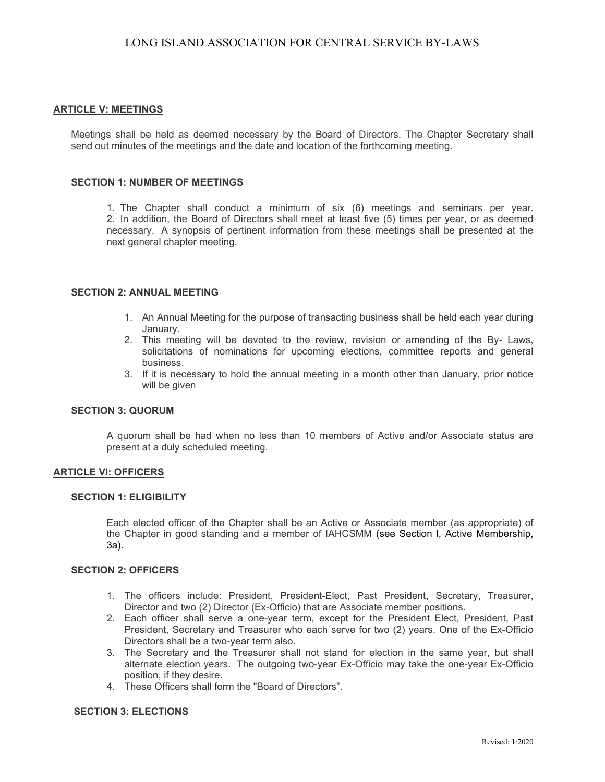### **ARTICLE V: MEETINGS**

Meetings shall be held as deemed necessary by the Board of Directors. The Chapter Secretary shall send out minutes of the meetings and the date and location of the forthcoming meeting.

#### **SECTION 1: NUMBER OF MEETINGS**

1. The Chapter shall conduct a minimum of six (6) meetings and seminars per year. 2. In addition, the Board of Directors shall meet at least five (5) times per year, or as deemed necessary. A synopsis of pertinent information from these meetings shall be presented at the next general chapter meeting.

#### **SECTION 2: ANNUAL MEETING**

- 1. An Annual Meeting for the purpose of transacting business shall be held each year during January.
- 2. This meeting will be devoted to the review, revision or amending of the By- Laws, solicitations of nominations for upcoming elections, committee reports and general business.
- 3. If it is necessary to hold the annual meeting in a month other than January, prior notice will be given

#### **SECTION 3: QUORUM**

A quorum shall be had when no less than 10 members of Active and/or Associate status are present at a duly scheduled meeting.

### **ARTICLE VI: OFFICERS**

### **SECTION 1: ELIGIBILITY**

Each elected officer of the Chapter shall be an Active or Associate member (as appropriate) of the Chapter in good standing and a member of IAHCSMM (see Section l, Active Membership, 3a).

# **SECTION 2: OFFICERS**

- 1. The officers include: President, President-Elect, Past President, Secretary, Treasurer, Director and two (2) Director (Ex-Officio) that are Associate member positions.
- 2. Each officer shall serve a one-year term, except for the President Elect, President, Past President, Secretary and Treasurer who each serve for two (2) years. One of the Ex-Officio Directors shall be a two-year term also.
- 3. The Secretary and the Treasurer shall not stand for election in the same year, but shall alternate election years. The outgoing two-year Ex-Officio may take the one-year Ex-Officio position, if they desire.
- 4. These Officers shall form the "Board of Directors".

#### **SECTION 3: ELECTIONS**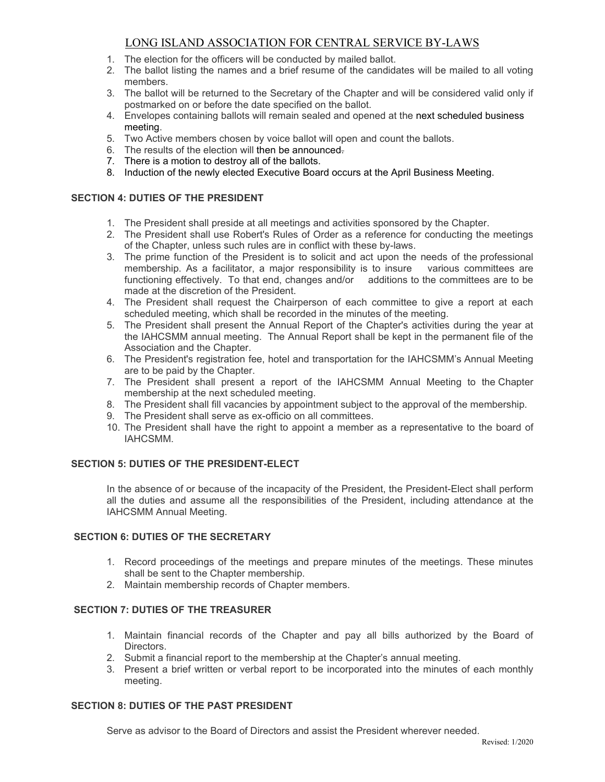- 1. The election for the officers will be conducted by mailed ballot.
- 2. The ballot listing the names and a brief resume of the candidates will be mailed to all voting members.
- 3. The ballot will be returned to the Secretary of the Chapter and will be considered valid only if postmarked on or before the date specified on the ballot.
- 4. Envelopes containing ballots will remain sealed and opened at the next scheduled business meeting.
- 5. Two Active members chosen by voice ballot will open and count the ballots.
- 6. The results of the election will then be announced.
- 7. There is a motion to destroy all of the ballots.
- 8. Induction of the newly elected Executive Board occurs at the April Business Meeting.

# **SECTION 4: DUTIES OF THE PRESIDENT**

- 1. The President shall preside at all meetings and activities sponsored by the Chapter.
- 2. The President shall use Robert's Rules of Order as a reference for conducting the meetings of the Chapter, unless such rules are in conflict with these by-laws.
- 3. The prime function of the President is to solicit and act upon the needs of the professional membership. As a facilitator, a major responsibility is to insure various committees are functioning effectively. To that end, changes and/or additions to the committees are to be made at the discretion of the President.
- 4. The President shall request the Chairperson of each committee to give a report at each scheduled meeting, which shall be recorded in the minutes of the meeting.
- 5. The President shall present the Annual Report of the Chapter's activities during the year at the IAHCSMM annual meeting. The Annual Report shall be kept in the permanent file of the Association and the Chapter.
- 6. The President's registration fee, hotel and transportation for the IAHCSMM's Annual Meeting are to be paid by the Chapter.
- 7. The President shall present a report of the IAHCSMM Annual Meeting to the Chapter membership at the next scheduled meeting.
- 8. The President shall fill vacancies by appointment subject to the approval of the membership.
- 9. The President shall serve as ex-officio on all committees.
- 10. The President shall have the right to appoint a member as a representative to the board of IAHCSMM.

# **SECTION 5: DUTIES OF THE PRESIDENT-ELECT**

In the absence of or because of the incapacity of the President, the President-Elect shall perform all the duties and assume all the responsibilities of the President, including attendance at the IAHCSMM Annual Meeting.

# **SECTION 6: DUTIES OF THE SECRETARY**

- 1. Record proceedings of the meetings and prepare minutes of the meetings. These minutes shall be sent to the Chapter membership.
- 2. Maintain membership records of Chapter members.

# **SECTION 7: DUTIES OF THE TREASURER**

- 1. Maintain financial records of the Chapter and pay all bills authorized by the Board of Directors.
- 2. Submit a financial report to the membership at the Chapter's annual meeting.
- 3. Present a brief written or verbal report to be incorporated into the minutes of each monthly meeting.

# **SECTION 8: DUTIES OF THE PAST PRESIDENT**

Serve as advisor to the Board of Directors and assist the President wherever needed.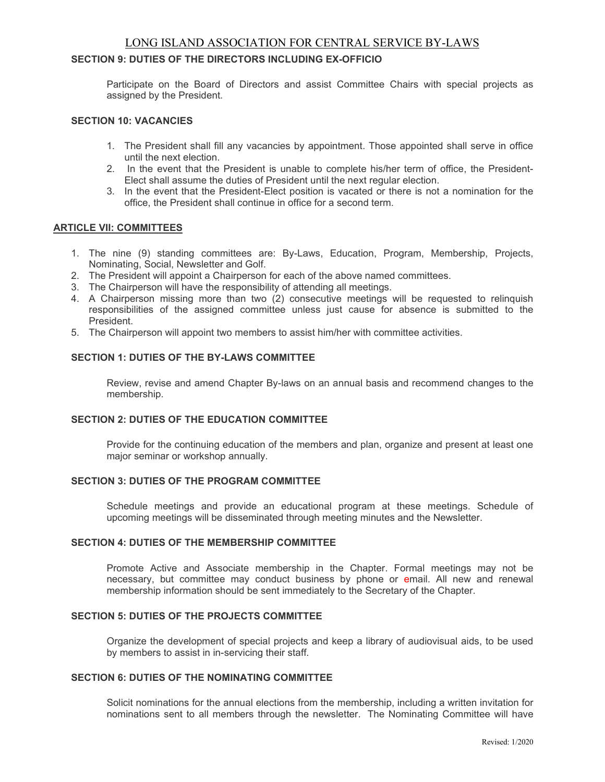# **SECTION 9: DUTIES OF THE DIRECTORS INCLUDING EX-OFFICIO**

Participate on the Board of Directors and assist Committee Chairs with special projects as assigned by the President.

## **SECTION 10: VACANCIES**

- 1. The President shall fill any vacancies by appointment. Those appointed shall serve in office until the next election.
- 2. In the event that the President is unable to complete his/her term of office, the President-Elect shall assume the duties of President until the next regular election.
- 3. In the event that the President-Elect position is vacated or there is not a nomination for the office, the President shall continue in office for a second term.

# **ARTICLE VII: COMMITTEES**

- 1. The nine (9) standing committees are: By-Laws, Education, Program, Membership, Projects, Nominating, Social, Newsletter and Golf.
- 2. The President will appoint a Chairperson for each of the above named committees.
- 3. The Chairperson will have the responsibility of attending all meetings.
- 4. A Chairperson missing more than two (2) consecutive meetings will be requested to relinquish responsibilities of the assigned committee unless just cause for absence is submitted to the President.
- 5. The Chairperson will appoint two members to assist him/her with committee activities.

# **SECTION 1: DUTIES OF THE BY-LAWS COMMITTEE**

Review, revise and amend Chapter By-laws on an annual basis and recommend changes to the membership.

# **SECTION 2: DUTIES OF THE EDUCATION COMMITTEE**

Provide for the continuing education of the members and plan, organize and present at least one major seminar or workshop annually.

## **SECTION 3: DUTIES OF THE PROGRAM COMMITTEE**

Schedule meetings and provide an educational program at these meetings. Schedule of upcoming meetings will be disseminated through meeting minutes and the Newsletter.

# **SECTION 4: DUTIES OF THE MEMBERSHIP COMMITTEE**

Promote Active and Associate membership in the Chapter. Formal meetings may not be necessary, but committee may conduct business by phone or email. All new and renewal membership information should be sent immediately to the Secretary of the Chapter.

#### **SECTION 5: DUTIES OF THE PROJECTS COMMITTEE**

Organize the development of special projects and keep a library of audiovisual aids, to be used by members to assist in in-servicing their staff.

#### **SECTION 6: DUTIES OF THE NOMINATING COMMITTEE**

Solicit nominations for the annual elections from the membership, including a written invitation for nominations sent to all members through the newsletter. The Nominating Committee will have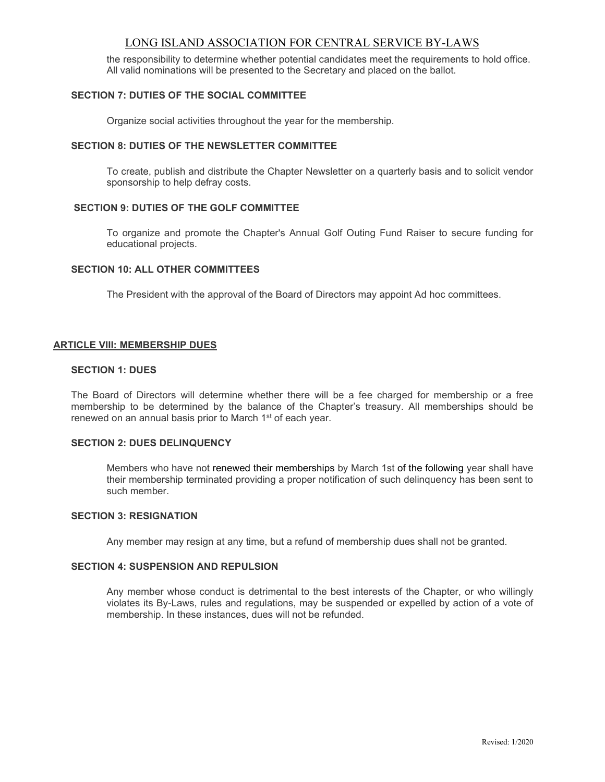the responsibility to determine whether potential candidates meet the requirements to hold office. All valid nominations will be presented to the Secretary and placed on the ballot.

## **SECTION 7: DUTIES OF THE SOCIAL COMMITTEE**

Organize social activities throughout the year for the membership.

# **SECTION 8: DUTIES OF THE NEWSLETTER COMMITTEE**

To create, publish and distribute the Chapter Newsletter on a quarterly basis and to solicit vendor sponsorship to help defray costs.

# **SECTION 9: DUTIES OF THE GOLF COMMITTEE**

To organize and promote the Chapter's Annual Golf Outing Fund Raiser to secure funding for educational projects.

## **SECTION 10: ALL OTHER COMMITTEES**

The President with the approval of the Board of Directors may appoint Ad hoc committees.

## **ARTICLE VIII: MEMBERSHIP DUES**

### **SECTION 1: DUES**

The Board of Directors will determine whether there will be a fee charged for membership or a free membership to be determined by the balance of the Chapter's treasury. All memberships should be renewed on an annual basis prior to March 1<sup>st</sup> of each year.

## **SECTION 2: DUES DELINQUENCY**

Members who have not renewed their memberships by March 1st of the following year shall have their membership terminated providing a proper notification of such delinquency has been sent to such member.

# **SECTION 3: RESIGNATION**

Any member may resign at any time, but a refund of membership dues shall not be granted.

## **SECTION 4: SUSPENSION AND REPULSION**

Any member whose conduct is detrimental to the best interests of the Chapter, or who willingly violates its By-Laws, rules and regulations, may be suspended or expelled by action of a vote of membership. In these instances, dues will not be refunded.